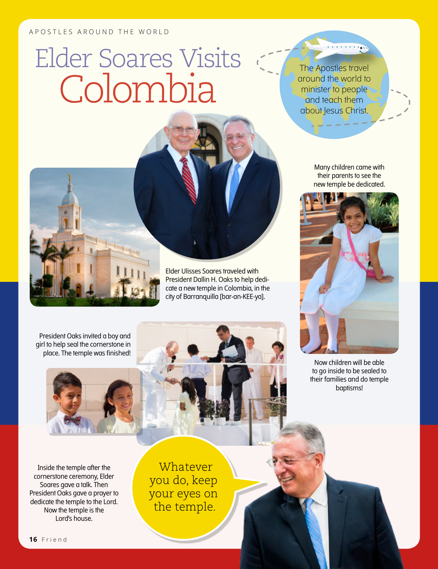## APOSTLES AROUND THE WORLD

## Elder Soares Visits Colombia

The Apostles travel around the world to minister to people and teach them about Jesus Christ.

Elder Ulisses Soares traveled with President Dallin H. Oaks to help dedicate a new temple in Colombia, in the city of Barranquilla [bar-an-KEE-ya].

Many children came with their parents to see the new temple be dedicated.



Now children will be able to go inside to be sealed to their families and do temple baptisms!





Inside the temple after the cornerstone ceremony, Elder Soares gave a talk. Then President Oaks gave a prayer to dedicate the temple to the Lord. Now the temple is the Lord's house.

**Whatever** you do, keep your eyes on the temple.